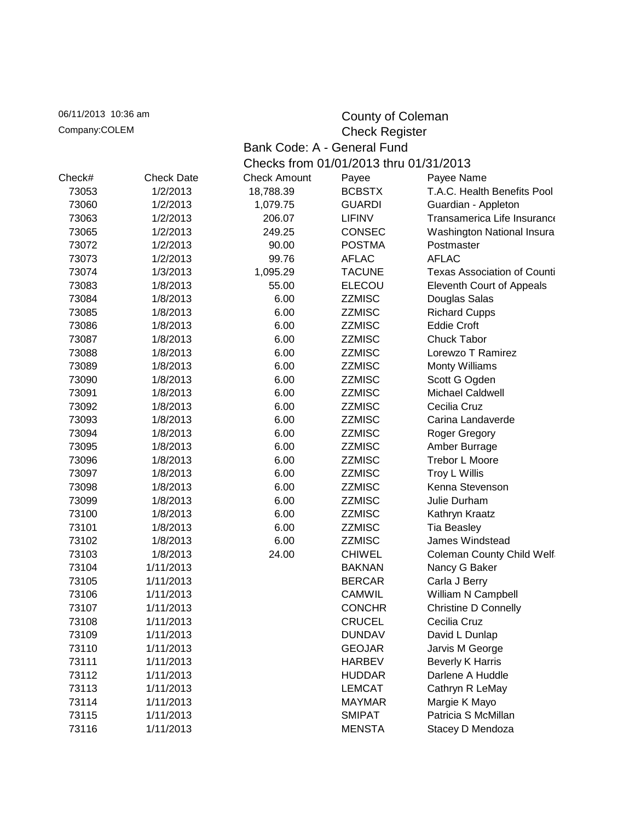| 06/11/2013 10:36 am |                   |                                        | County of Coleman |                                    |  |  |
|---------------------|-------------------|----------------------------------------|-------------------|------------------------------------|--|--|
| Company:COLEM       |                   |                                        |                   | <b>Check Register</b>              |  |  |
|                     |                   | Bank Code: A - General Fund            |                   |                                    |  |  |
|                     |                   | Checks from 01/01/2013 thru 01/31/2013 |                   |                                    |  |  |
| Check#              | <b>Check Date</b> | <b>Check Amount</b>                    | Payee             | Payee Name                         |  |  |
| 73053               | 1/2/2013          | 18,788.39                              | <b>BCBSTX</b>     | T.A.C. Health Benefits Pool        |  |  |
| 73060               | 1/2/2013          | 1,079.75                               | <b>GUARDI</b>     | Guardian - Appleton                |  |  |
| 73063               | 1/2/2013          | 206.07                                 | <b>LIFINV</b>     | Transamerica Life Insurance        |  |  |
| 73065               | 1/2/2013          | 249.25                                 | <b>CONSEC</b>     | Washington National Insura         |  |  |
| 73072               | 1/2/2013          | 90.00                                  | <b>POSTMA</b>     | Postmaster                         |  |  |
| 73073               | 1/2/2013          | 99.76                                  | <b>AFLAC</b>      | <b>AFLAC</b>                       |  |  |
| 73074               | 1/3/2013          | 1,095.29                               | <b>TACUNE</b>     | <b>Texas Association of Counti</b> |  |  |
| 73083               | 1/8/2013          | 55.00                                  | <b>ELECOU</b>     | <b>Eleventh Court of Appeals</b>   |  |  |
| 73084               | 1/8/2013          | 6.00                                   | <b>ZZMISC</b>     | Douglas Salas                      |  |  |
| 73085               | 1/8/2013          | 6.00                                   | <b>ZZMISC</b>     | <b>Richard Cupps</b>               |  |  |
| 73086               | 1/8/2013          | 6.00                                   | <b>ZZMISC</b>     | <b>Eddie Croft</b>                 |  |  |
| 73087               | 1/8/2013          | 6.00                                   | <b>ZZMISC</b>     | Chuck Tabor                        |  |  |
| 73088               | 1/8/2013          | 6.00                                   | <b>ZZMISC</b>     | Lorewzo T Ramirez                  |  |  |
| 73089               | 1/8/2013          | 6.00                                   | <b>ZZMISC</b>     | <b>Monty Williams</b>              |  |  |
| 73090               | 1/8/2013          | 6.00                                   | <b>ZZMISC</b>     | Scott G Ogden                      |  |  |
| 73091               | 1/8/2013          | 6.00                                   | <b>ZZMISC</b>     | <b>Michael Caldwell</b>            |  |  |
| 73092               | 1/8/2013          | 6.00                                   | <b>ZZMISC</b>     | Cecilia Cruz                       |  |  |
| 73093               | 1/8/2013          | 6.00                                   | <b>ZZMISC</b>     | Carina Landaverde                  |  |  |
| 73094               | 1/8/2013          | 6.00                                   | <b>ZZMISC</b>     | Roger Gregory                      |  |  |
| 73095               | 1/8/2013          | 6.00                                   | <b>ZZMISC</b>     | Amber Burrage                      |  |  |
| 73096               | 1/8/2013          | 6.00                                   | <b>ZZMISC</b>     | <b>Trebor L Moore</b>              |  |  |
| 73097               | 1/8/2013          | 6.00                                   | <b>ZZMISC</b>     | Troy L Willis                      |  |  |
| 73098               | 1/8/2013          | 6.00                                   | <b>ZZMISC</b>     | Kenna Stevenson                    |  |  |
| 73099               | 1/8/2013          | 6.00                                   | <b>ZZMISC</b>     | Julie Durham                       |  |  |
| 73100               | 1/8/2013          | 6.00                                   | <b>ZZMISC</b>     | Kathryn Kraatz                     |  |  |
| 73101               | 1/8/2013          | 6.00                                   | <b>ZZMISC</b>     | Tia Beasley                        |  |  |
| 73102               | 1/8/2013          | 6.00                                   | <b>ZZMISC</b>     | James Windstead                    |  |  |
| 73103               | 1/8/2013          | 24.00                                  | <b>CHIWEL</b>     | <b>Coleman County Child Welf</b>   |  |  |
| 73104               | 1/11/2013         |                                        | <b>BAKNAN</b>     | Nancy G Baker                      |  |  |
| 73105               | 1/11/2013         |                                        | <b>BERCAR</b>     | Carla J Berry                      |  |  |
| 73106               | 1/11/2013         |                                        | <b>CAMWIL</b>     | William N Campbell                 |  |  |
| 73107               | 1/11/2013         |                                        | <b>CONCHR</b>     | <b>Christine D Connelly</b>        |  |  |
| 73108               | 1/11/2013         |                                        | <b>CRUCEL</b>     | Cecilia Cruz                       |  |  |
| 73109               | 1/11/2013         |                                        | <b>DUNDAV</b>     | David L Dunlap                     |  |  |
| 73110               | 1/11/2013         |                                        | <b>GEOJAR</b>     | Jarvis M George                    |  |  |
| 73111               | 1/11/2013         |                                        | <b>HARBEV</b>     | <b>Beverly K Harris</b>            |  |  |
| 73112               | 1/11/2013         |                                        | <b>HUDDAR</b>     | Darlene A Huddle                   |  |  |
| 73113               | 1/11/2013         |                                        | <b>LEMCAT</b>     | Cathryn R LeMay                    |  |  |
| 73114               | 1/11/2013         |                                        | <b>MAYMAR</b>     | Margie K Mayo                      |  |  |
| 73115               | 1/11/2013         |                                        | <b>SMIPAT</b>     | Patricia S McMillan                |  |  |
| 73116               | 1/11/2013         |                                        | <b>MENSTA</b>     | Stacey D Mendoza                   |  |  |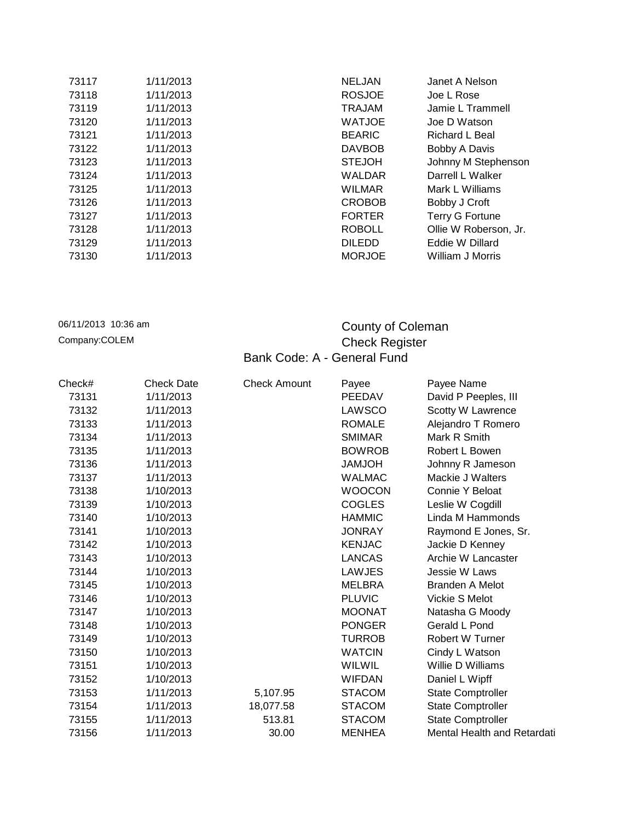| 73117 | 1/11/2013 | <b>NELJAN</b> | Janet A Nelson         |
|-------|-----------|---------------|------------------------|
| 73118 | 1/11/2013 | <b>ROSJOE</b> | Joe L Rose             |
| 73119 | 1/11/2013 | <b>TRAJAM</b> | Jamie L Trammell       |
| 73120 | 1/11/2013 | <b>WATJOE</b> | Joe D Watson           |
| 73121 | 1/11/2013 | <b>BEARIC</b> | Richard L Beal         |
| 73122 | 1/11/2013 | <b>DAVBOB</b> | Bobby A Davis          |
| 73123 | 1/11/2013 | <b>STEJOH</b> | Johnny M Stephenson    |
| 73124 | 1/11/2013 | WALDAR        | Darrell L Walker       |
| 73125 | 1/11/2013 | <b>WILMAR</b> | Mark L Williams        |
| 73126 | 1/11/2013 | <b>CROBOB</b> | Bobby J Croft          |
| 73127 | 1/11/2013 | <b>FORTER</b> | <b>Terry G Fortune</b> |
| 73128 | 1/11/2013 | <b>ROBOLL</b> | Ollie W Roberson, Jr.  |
| 73129 | 1/11/2013 | <b>DILEDD</b> | Eddie W Dillard        |
| 73130 | 1/11/2013 | <b>MORJOE</b> | William J Morris       |
|       |           |               |                        |

## 06/11/2013 10:36 am **County of Coleman** Company:COLEM Company:COLEM Check Register Bank Code: A - General Fund

| Check# | Check Date | <b>Check Amount</b> | Payee         | Payee Name                  |
|--------|------------|---------------------|---------------|-----------------------------|
| 73131  | 1/11/2013  |                     | <b>PEEDAV</b> | David P Peeples, III        |
| 73132  | 1/11/2013  |                     | LAWSCO        | Scotty W Lawrence           |
| 73133  | 1/11/2013  |                     | <b>ROMALE</b> | Alejandro T Romero          |
| 73134  | 1/11/2013  |                     | <b>SMIMAR</b> | Mark R Smith                |
| 73135  | 1/11/2013  |                     | <b>BOWROB</b> | Robert L Bowen              |
| 73136  | 1/11/2013  |                     | <b>HOLMAL</b> | Johnny R Jameson            |
| 73137  | 1/11/2013  |                     | <b>WALMAC</b> | Mackie J Walters            |
| 73138  | 1/10/2013  |                     | <b>WOOCON</b> | Connie Y Beloat             |
| 73139  | 1/10/2013  |                     | <b>COGLES</b> | Leslie W Cogdill            |
| 73140  | 1/10/2013  |                     | <b>HAMMIC</b> | Linda M Hammonds            |
| 73141  | 1/10/2013  |                     | <b>JONRAY</b> | Raymond E Jones, Sr.        |
| 73142  | 1/10/2013  |                     | <b>KENJAC</b> | Jackie D Kenney             |
| 73143  | 1/10/2013  |                     | <b>LANCAS</b> | Archie W Lancaster          |
| 73144  | 1/10/2013  |                     | LAWJES        | Jessie W Laws               |
| 73145  | 1/10/2013  |                     | <b>MELBRA</b> | Branden A Melot             |
| 73146  | 1/10/2013  |                     | <b>PLUVIC</b> | Vickie S Melot              |
| 73147  | 1/10/2013  |                     | <b>MOONAT</b> | Natasha G Moody             |
| 73148  | 1/10/2013  |                     | <b>PONGER</b> | Gerald L Pond               |
| 73149  | 1/10/2013  |                     | <b>TURROB</b> | Robert W Turner             |
| 73150  | 1/10/2013  |                     | <b>WATCIN</b> | Cindy L Watson              |
| 73151  | 1/10/2013  |                     | <b>WILWIL</b> | Willie D Williams           |
| 73152  | 1/10/2013  |                     | <b>WIFDAN</b> | Daniel L Wipff              |
| 73153  | 1/11/2013  | 5,107.95            | <b>STACOM</b> | <b>State Comptroller</b>    |
| 73154  | 1/11/2013  | 18,077.58           | <b>STACOM</b> | <b>State Comptroller</b>    |
| 73155  | 1/11/2013  | 513.81              | <b>STACOM</b> | <b>State Comptroller</b>    |
| 73156  | 1/11/2013  | 30.00               | MENHEA        | Mental Health and Retardati |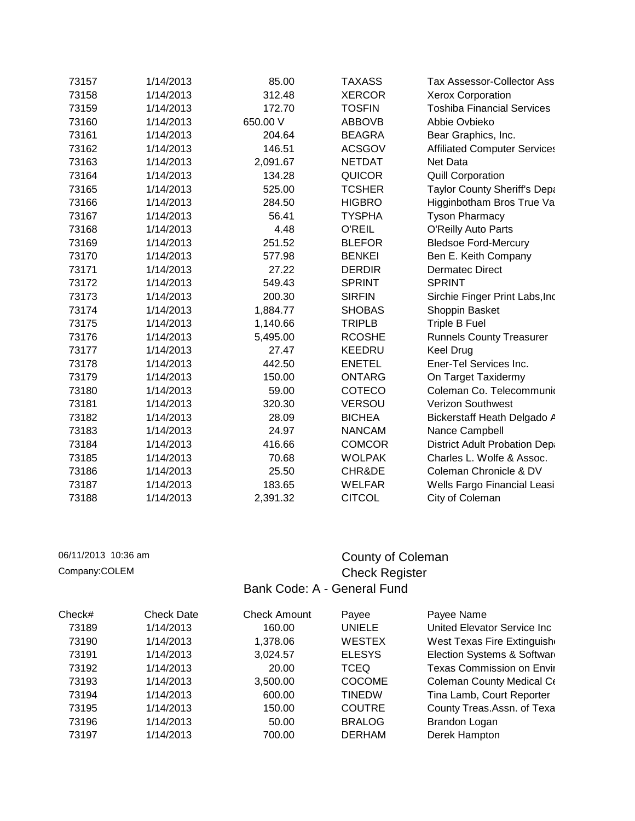| 73157 | 1/14/2013 | 85.00    | <b>TAXASS</b> | Tax Assessor-Collector Ass           |  |
|-------|-----------|----------|---------------|--------------------------------------|--|
| 73158 | 1/14/2013 | 312.48   | <b>XERCOR</b> | <b>Xerox Corporation</b>             |  |
| 73159 | 1/14/2013 | 172.70   | <b>TOSFIN</b> | <b>Toshiba Financial Services</b>    |  |
| 73160 | 1/14/2013 | 650.00 V | <b>ABBOVB</b> | Abbie Ovbieko                        |  |
| 73161 | 1/14/2013 | 204.64   | <b>BEAGRA</b> | Bear Graphics, Inc.                  |  |
| 73162 | 1/14/2013 | 146.51   | <b>ACSGOV</b> | <b>Affiliated Computer Services</b>  |  |
| 73163 | 1/14/2013 | 2,091.67 | <b>NETDAT</b> | Net Data                             |  |
| 73164 | 1/14/2013 | 134.28   | <b>QUICOR</b> | <b>Quill Corporation</b>             |  |
| 73165 | 1/14/2013 | 525.00   | <b>TCSHER</b> | Taylor County Sheriff's Depa         |  |
| 73166 | 1/14/2013 | 284.50   | <b>HIGBRO</b> | Higginbotham Bros True Va            |  |
| 73167 | 1/14/2013 | 56.41    | <b>TYSPHA</b> | <b>Tyson Pharmacy</b>                |  |
| 73168 | 1/14/2013 | 4.48     | O'REIL        | <b>O'Reilly Auto Parts</b>           |  |
| 73169 | 1/14/2013 | 251.52   | <b>BLEFOR</b> | <b>Bledsoe Ford-Mercury</b>          |  |
| 73170 | 1/14/2013 | 577.98   | <b>BENKEI</b> | Ben E. Keith Company                 |  |
| 73171 | 1/14/2013 | 27.22    | <b>DERDIR</b> | <b>Dermatec Direct</b>               |  |
| 73172 | 1/14/2013 | 549.43   | <b>SPRINT</b> | <b>SPRINT</b>                        |  |
| 73173 | 1/14/2013 | 200.30   | <b>SIRFIN</b> | Sirchie Finger Print Labs, Inc       |  |
| 73174 | 1/14/2013 | 1,884.77 | <b>SHOBAS</b> | Shoppin Basket                       |  |
| 73175 | 1/14/2013 | 1,140.66 | <b>TRIPLB</b> | Triple B Fuel                        |  |
| 73176 | 1/14/2013 | 5,495.00 | <b>RCOSHE</b> | <b>Runnels County Treasurer</b>      |  |
| 73177 | 1/14/2013 | 27.47    | <b>KEEDRU</b> | <b>Keel Drug</b>                     |  |
| 73178 | 1/14/2013 | 442.50   | <b>ENETEL</b> | Ener-Tel Services Inc.               |  |
| 73179 | 1/14/2013 | 150.00   | <b>ONTARG</b> | On Target Taxidermy                  |  |
| 73180 | 1/14/2013 | 59.00    | <b>COTECO</b> | Coleman Co. Telecommunio             |  |
| 73181 | 1/14/2013 | 320.30   | <b>VERSOU</b> | <b>Verizon Southwest</b>             |  |
| 73182 | 1/14/2013 | 28.09    | <b>BICHEA</b> | Bickerstaff Heath Delgado A          |  |
| 73183 | 1/14/2013 | 24.97    | <b>NANCAM</b> | Nance Campbell                       |  |
| 73184 | 1/14/2013 | 416.66   | <b>COMCOR</b> | <b>District Adult Probation Depa</b> |  |
| 73185 | 1/14/2013 | 70.68    | <b>WOLPAK</b> | Charles L. Wolfe & Assoc.            |  |
| 73186 | 1/14/2013 | 25.50    | CHR&DE        | Coleman Chronicle & DV               |  |
| 73187 | 1/14/2013 | 183.65   | <b>WELFAR</b> | Wells Fargo Financial Leasi          |  |
| 73188 | 1/14/2013 | 2,391.32 | <b>CITCOL</b> | City of Coleman                      |  |

## 06/11/2013 10:36 am County of Coleman Company:COLEM County of Coleman Company:COLEM County of Coleman Company: Check Register Bank Code: A - General Fund

| Check# | <b>Check Date</b> | <b>Check Amount</b> | Payee         | Payee Name                       |
|--------|-------------------|---------------------|---------------|----------------------------------|
| 73189  | 1/14/2013         | 160.00              | <b>UNIELE</b> | United Elevator Service Inc      |
| 73190  | 1/14/2013         | 1,378.06            | <b>WESTEX</b> | West Texas Fire Extinguish       |
| 73191  | 1/14/2013         | 3,024.57            | <b>ELESYS</b> | Election Systems & Softward      |
| 73192  | 1/14/2013         | 20.00               | <b>TCEQ</b>   | <b>Texas Commission on Envir</b> |
| 73193  | 1/14/2013         | 3,500.00            | <b>COCOME</b> | Coleman County Medical Co        |
| 73194  | 1/14/2013         | 600.00              | <b>TINEDW</b> | Tina Lamb, Court Reporter        |
| 73195  | 1/14/2013         | 150.00              | <b>COUTRE</b> | County Treas.Assn. of Texa       |
| 73196  | 1/14/2013         | 50.00               | <b>BRALOG</b> | Brandon Logan                    |
| 73197  | 1/14/2013         | 700.00              | <b>DERHAM</b> | Derek Hampton                    |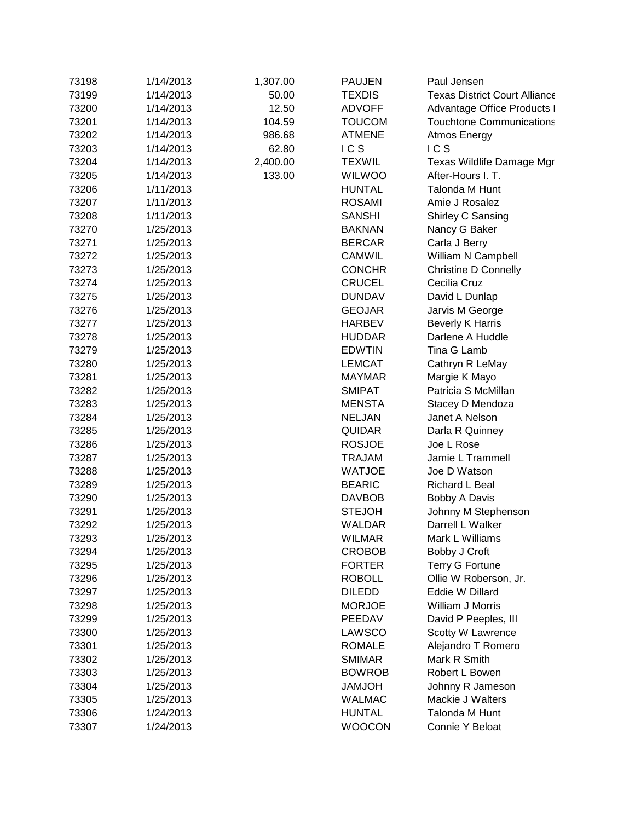| 73198 | 1/14/2013 | 1,307.00 | <b>PAUJEN</b> | Paul Jensen                          |
|-------|-----------|----------|---------------|--------------------------------------|
| 73199 | 1/14/2013 | 50.00    | <b>TEXDIS</b> | <b>Texas District Court Alliance</b> |
| 73200 | 1/14/2013 | 12.50    | <b>ADVOFF</b> | Advantage Office Products I          |
| 73201 | 1/14/2013 | 104.59   | <b>TOUCOM</b> | <b>Touchtone Communications</b>      |
| 73202 | 1/14/2013 | 986.68   | <b>ATMENE</b> | Atmos Energy                         |
| 73203 | 1/14/2013 | 62.80    | ICS           | <b>ICS</b>                           |
| 73204 | 1/14/2013 | 2,400.00 | <b>TEXWIL</b> | Texas Wildlife Damage Mgr            |
| 73205 | 1/14/2013 | 133.00   | <b>WILWOO</b> | After-Hours I. T.                    |
| 73206 | 1/11/2013 |          | <b>HUNTAL</b> | Talonda M Hunt                       |
| 73207 | 1/11/2013 |          | <b>ROSAMI</b> | Amie J Rosalez                       |
| 73208 | 1/11/2013 |          | <b>SANSHI</b> | Shirley C Sansing                    |
| 73270 | 1/25/2013 |          | <b>BAKNAN</b> | Nancy G Baker                        |
| 73271 | 1/25/2013 |          | <b>BERCAR</b> | Carla J Berry                        |
| 73272 | 1/25/2013 |          | <b>CAMWIL</b> | William N Campbell                   |
| 73273 | 1/25/2013 |          | <b>CONCHR</b> | <b>Christine D Connelly</b>          |
| 73274 | 1/25/2013 |          | <b>CRUCEL</b> | Cecilia Cruz                         |
| 73275 | 1/25/2013 |          | <b>DUNDAV</b> | David L Dunlap                       |
| 73276 | 1/25/2013 |          | <b>GEOJAR</b> | Jarvis M George                      |
| 73277 | 1/25/2013 |          | <b>HARBEV</b> | <b>Beverly K Harris</b>              |
| 73278 | 1/25/2013 |          | <b>HUDDAR</b> | Darlene A Huddle                     |
| 73279 | 1/25/2013 |          | <b>EDWTIN</b> | Tina G Lamb                          |
| 73280 | 1/25/2013 |          | <b>LEMCAT</b> | Cathryn R LeMay                      |
| 73281 | 1/25/2013 |          | <b>MAYMAR</b> | Margie K Mayo                        |
| 73282 | 1/25/2013 |          | <b>SMIPAT</b> | Patricia S McMillan                  |
| 73283 | 1/25/2013 |          | <b>MENSTA</b> | Stacey D Mendoza                     |
| 73284 | 1/25/2013 |          | <b>NELJAN</b> | Janet A Nelson                       |
| 73285 | 1/25/2013 |          | <b>QUIDAR</b> | Darla R Quinney                      |
| 73286 | 1/25/2013 |          | <b>ROSJOE</b> | Joe L Rose                           |
| 73287 | 1/25/2013 |          | <b>TRAJAM</b> | Jamie L Trammell                     |
| 73288 | 1/25/2013 |          | <b>WATJOE</b> | Joe D Watson                         |
| 73289 | 1/25/2013 |          | <b>BEARIC</b> | Richard L Beal                       |
| 73290 | 1/25/2013 |          | <b>DAVBOB</b> | <b>Bobby A Davis</b>                 |
| 73291 | 1/25/2013 |          | <b>STEJOH</b> | Johnny M Stephenson                  |
| 73292 | 1/25/2013 |          | <b>WALDAR</b> | Darrell L Walker                     |
| 73293 | 1/25/2013 |          | WILMAR        | Mark L Williams                      |
| 73294 | 1/25/2013 |          | <b>CROBOB</b> | Bobby J Croft                        |
| 73295 | 1/25/2013 |          | <b>FORTER</b> | <b>Terry G Fortune</b>               |
| 73296 | 1/25/2013 |          | <b>ROBOLL</b> | Ollie W Roberson, Jr.                |
| 73297 | 1/25/2013 |          | <b>DILEDD</b> | <b>Eddie W Dillard</b>               |
| 73298 | 1/25/2013 |          | <b>MORJOE</b> | William J Morris                     |
| 73299 | 1/25/2013 |          | PEEDAV        | David P Peeples, III                 |
| 73300 | 1/25/2013 |          | LAWSCO        | Scotty W Lawrence                    |
| 73301 | 1/25/2013 |          | <b>ROMALE</b> | Alejandro T Romero                   |
| 73302 | 1/25/2013 |          | <b>SMIMAR</b> | Mark R Smith                         |
| 73303 | 1/25/2013 |          | <b>BOWROB</b> | Robert L Bowen                       |
| 73304 | 1/25/2013 |          | <b>HOLMAL</b> | Johnny R Jameson                     |
| 73305 | 1/25/2013 |          | <b>WALMAC</b> | Mackie J Walters                     |
| 73306 | 1/24/2013 |          | <b>HUNTAL</b> | Talonda M Hunt                       |
| 73307 | 1/24/2013 |          | <b>WOOCON</b> | Connie Y Beloat                      |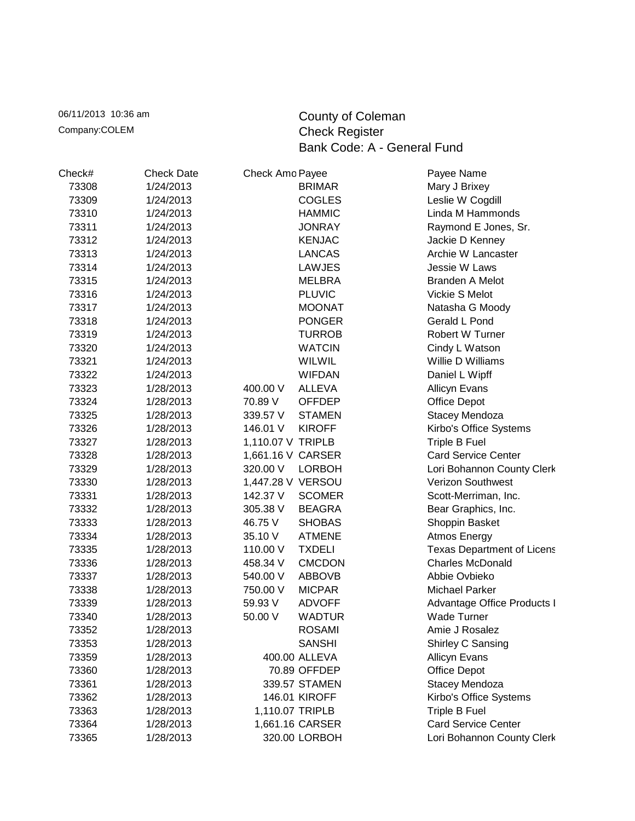06/11/2013 10:36 am County of Coleman<br>
Company:COLEM Company:COLEM Check Register Check Register Bank Code: A - General Fund

| Check# | <b>Check Date</b> | Check Amo Payee   |                 | Payee Name                        |
|--------|-------------------|-------------------|-----------------|-----------------------------------|
| 73308  | 1/24/2013         |                   | <b>BRIMAR</b>   | Mary J Brixey                     |
| 73309  | 1/24/2013         |                   | <b>COGLES</b>   | Leslie W Cogdill                  |
| 73310  | 1/24/2013         |                   | <b>HAMMIC</b>   | Linda M Hammonds                  |
| 73311  | 1/24/2013         |                   | <b>JONRAY</b>   | Raymond E Jones, Sr.              |
| 73312  | 1/24/2013         |                   | <b>KENJAC</b>   | Jackie D Kenney                   |
| 73313  | 1/24/2013         |                   | <b>LANCAS</b>   | Archie W Lancaster                |
| 73314  | 1/24/2013         |                   | LAWJES          | Jessie W Laws                     |
| 73315  | 1/24/2013         |                   | <b>MELBRA</b>   | <b>Branden A Melot</b>            |
| 73316  | 1/24/2013         |                   | <b>PLUVIC</b>   | Vickie S Melot                    |
| 73317  | 1/24/2013         |                   | <b>MOONAT</b>   | Natasha G Moody                   |
| 73318  | 1/24/2013         |                   | <b>PONGER</b>   | Gerald L Pond                     |
| 73319  | 1/24/2013         |                   | <b>TURROB</b>   | Robert W Turner                   |
| 73320  | 1/24/2013         |                   | <b>WATCIN</b>   | Cindy L Watson                    |
| 73321  | 1/24/2013         |                   | WILWIL          | Willie D Williams                 |
| 73322  | 1/24/2013         |                   | <b>WIFDAN</b>   | Daniel L Wipff                    |
| 73323  | 1/28/2013         | 400.00 V          | <b>ALLEVA</b>   | <b>Allicyn Evans</b>              |
| 73324  | 1/28/2013         | 70.89 V           | <b>OFFDEP</b>   | Office Depot                      |
| 73325  | 1/28/2013         | 339.57 V          | <b>STAMEN</b>   | Stacey Mendoza                    |
| 73326  | 1/28/2013         | 146.01 V          | <b>KIROFF</b>   | Kirbo's Office Systems            |
| 73327  | 1/28/2013         | 1,110.07 V TRIPLB |                 | Triple B Fuel                     |
| 73328  | 1/28/2013         | 1,661.16 V CARSER |                 | <b>Card Service Center</b>        |
| 73329  | 1/28/2013         | 320.00 V          | <b>LORBOH</b>   | Lori Bohannon County Clerk        |
| 73330  | 1/28/2013         | 1,447.28 V VERSOU |                 | Verizon Southwest                 |
| 73331  | 1/28/2013         | 142.37 V          | <b>SCOMER</b>   | Scott-Merriman, Inc.              |
| 73332  | 1/28/2013         | 305.38 V          | <b>BEAGRA</b>   | Bear Graphics, Inc.               |
| 73333  | 1/28/2013         | 46.75 V           | <b>SHOBAS</b>   | Shoppin Basket                    |
| 73334  | 1/28/2013         | 35.10 V           | <b>ATMENE</b>   | Atmos Energy                      |
| 73335  | 1/28/2013         | 110.00 V          | <b>TXDELI</b>   | <b>Texas Department of Licens</b> |
| 73336  | 1/28/2013         | 458.34 V          | <b>CMCDON</b>   | <b>Charles McDonald</b>           |
| 73337  | 1/28/2013         | 540.00 V          | <b>ABBOVB</b>   | Abbie Ovbieko                     |
| 73338  | 1/28/2013         | 750.00 V          | <b>MICPAR</b>   | <b>Michael Parker</b>             |
| 73339  | 1/28/2013         | 59.93 V           | <b>ADVOFF</b>   | Advantage Office Products I       |
| 73340  | 1/28/2013         | 50.00 V           | <b>WADTUR</b>   | <b>Wade Turner</b>                |
| 73352  | 1/28/2013         |                   | <b>ROSAMI</b>   | Amie J Rosalez                    |
| 73353  | 1/28/2013         |                   | <b>SANSHI</b>   | Shirley C Sansing                 |
| 73359  | 1/28/2013         |                   | 400.00 ALLEVA   | <b>Allicyn Evans</b>              |
| 73360  | 1/28/2013         |                   | 70.89 OFFDEP    | Office Depot                      |
| 73361  | 1/28/2013         |                   | 339.57 STAMEN   | Stacey Mendoza                    |
| 73362  | 1/28/2013         |                   | 146.01 KIROFF   | Kirbo's Office Systems            |
| 73363  | 1/28/2013         | 1,110.07 TRIPLB   |                 | Triple B Fuel                     |
| 73364  | 1/28/2013         |                   | 1,661.16 CARSER | <b>Card Service Center</b>        |
| 73365  | 1/28/2013         |                   | 320.00 LORBOH   | Lori Bohannon County Clerk        |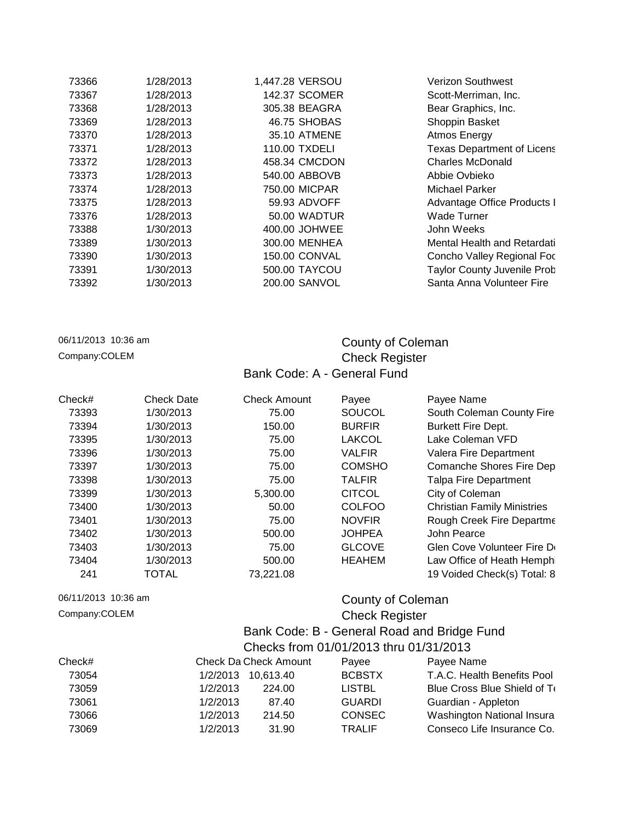| 73366 | 1/28/2013 | 1,447.28 VERSOU      | Verizon Southwest                  |
|-------|-----------|----------------------|------------------------------------|
| 73367 | 1/28/2013 | 142.37 SCOMER        | Scott-Merriman, Inc.               |
| 73368 | 1/28/2013 | 305.38 BEAGRA        | Bear Graphics, Inc.                |
| 73369 | 1/28/2013 | 46.75 SHOBAS         | Shoppin Basket                     |
| 73370 | 1/28/2013 | 35.10 ATMENE         | Atmos Energy                       |
| 73371 | 1/28/2013 | 110.00 TXDELI        | <b>Texas Department of Licens</b>  |
| 73372 | 1/28/2013 | 458.34 CMCDON        | <b>Charles McDonald</b>            |
| 73373 | 1/28/2013 | 540.00 ABBOVB        | Abbie Ovbieko                      |
| 73374 | 1/28/2013 | 750.00 MICPAR        | Michael Parker                     |
| 73375 | 1/28/2013 | 59.93 ADVOFF         | Advantage Office Products I        |
| 73376 | 1/28/2013 | 50.00 WADTUR         | <b>Wade Turner</b>                 |
| 73388 | 1/30/2013 | 400.00 JOHWEE        | John Weeks                         |
| 73389 | 1/30/2013 | 300.00 MENHEA        | Mental Health and Retardati        |
| 73390 | 1/30/2013 | <b>150.00 CONVAL</b> | Concho Valley Regional Foc         |
| 73391 | 1/30/2013 | 500.00 TAYCOU        | <b>Taylor County Juvenile Prob</b> |
| 73392 | 1/30/2013 | <b>200.00 SANVOL</b> | Santa Anna Volunteer Fire          |
|       |           |                      |                                    |

## 06/11/2013 10:36 am **County of Coleman** Company:COLEM Company:COLEM Check Register Bank Code: A - General Fund

| Check# | <b>Check Date</b> | <b>Check Amount</b> | Payee         | Payee Name                         |
|--------|-------------------|---------------------|---------------|------------------------------------|
| 73393  | 1/30/2013         | 75.00               | SOUCOL        | South Coleman County Fire          |
| 73394  | 1/30/2013         | 150.00              | <b>BURFIR</b> | <b>Burkett Fire Dept.</b>          |
| 73395  | 1/30/2013         | 75.00               | <b>LAKCOL</b> | Lake Coleman VFD                   |
| 73396  | 1/30/2013         | 75.00               | <b>VALFIR</b> | Valera Fire Department             |
| 73397  | 1/30/2013         | 75.00               | <b>COMSHO</b> | Comanche Shores Fire Dep           |
| 73398  | 1/30/2013         | 75.00               | <b>TALFIR</b> | <b>Talpa Fire Department</b>       |
| 73399  | 1/30/2013         | 5,300.00            | <b>CITCOL</b> | City of Coleman                    |
| 73400  | 1/30/2013         | 50.00               | COLFOO        | <b>Christian Family Ministries</b> |
| 73401  | 1/30/2013         | 75.00               | <b>NOVFIR</b> | Rough Creek Fire Departme          |
| 73402  | 1/30/2013         | 500.00              | <b>JOHPEA</b> | John Pearce                        |
| 73403  | 1/30/2013         | 75.00               | <b>GLCOVE</b> | Glen Cove Volunteer Fire De        |
| 73404  | 1/30/2013         | 500.00              | <b>HEAHEM</b> | Law Office of Heath Hemph          |
| 241    | <b>TOTAL</b>      | 73,221.08           |               | 19 Voided Check(s) Total: 8        |

## 06/11/2013 10:36 am **County of Coleman** Company:COLEM Company:COLEM Check Register

### Bank Code: B - General Road and Bridge Fund Checks from 01/01/2013 thru 01/31/2013

| <u>UILEURS HUIH U I/U I/ZU IS THUU U I/S I/ZU IS</u> |        |                                             |                              |  |  |
|------------------------------------------------------|--------|---------------------------------------------|------------------------------|--|--|
|                                                      |        | Payee                                       | Payee Name                   |  |  |
|                                                      |        | <b>BCBSTX</b>                               | T.A.C. Health Benefits Pool  |  |  |
| 1/2/2013                                             | 224.00 | <b>LISTBL</b>                               | Blue Cross Blue Shield of To |  |  |
| 1/2/2013                                             | 87.40  | <b>GUARDI</b>                               | Guardian - Appleton          |  |  |
| 1/2/2013                                             | 214.50 | <b>CONSEC</b>                               | Washington National Insura   |  |  |
| 1/2/2013                                             | 31.90  | <b>TRALIF</b>                               | Conseco Life Insurance Co.   |  |  |
|                                                      |        | Check Da Check Amount<br>1/2/2013 10,613.40 |                              |  |  |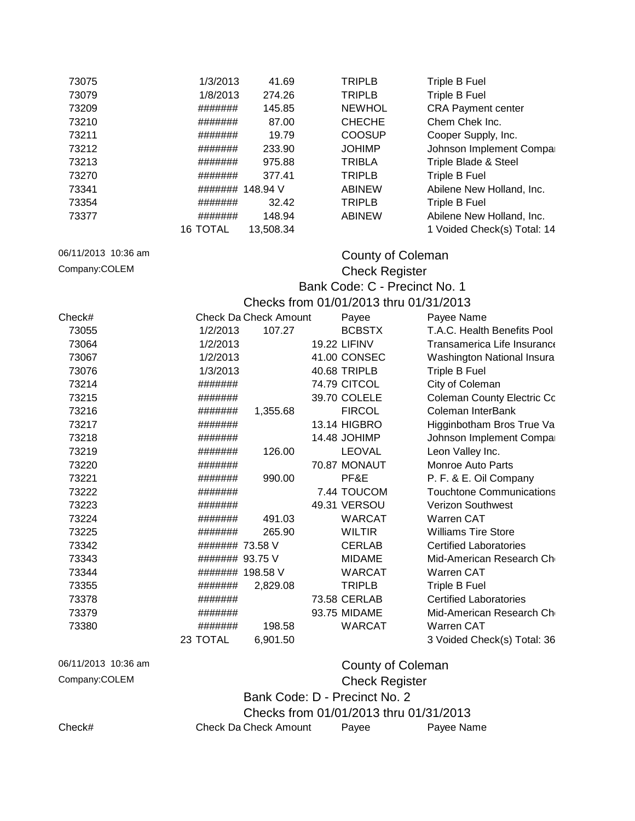| 73075               | 1/3/2013         | 41.69                        | <b>TRIPLB</b>                          | Triple B Fuel                     |
|---------------------|------------------|------------------------------|----------------------------------------|-----------------------------------|
| 73079               | 1/8/2013         | 274.26                       | <b>TRIPLB</b>                          | Triple B Fuel                     |
| 73209               | #######          | 145.85                       | <b>NEWHOL</b>                          | <b>CRA Payment center</b>         |
| 73210               | #######          | 87.00                        | <b>CHECHE</b>                          | Chem Chek Inc.                    |
| 73211               | #######          | 19.79                        | <b>COOSUP</b>                          | Cooper Supply, Inc.               |
| 73212               | #######          | 233.90                       | <b>JOHIMP</b>                          | Johnson Implement Compa           |
| 73213               | #######          | 975.88                       | <b>TRIBLA</b>                          | Triple Blade & Steel              |
| 73270               | #######          | 377.41                       | <b>TRIPLB</b>                          | Triple B Fuel                     |
| 73341               | #######          | 148.94 V                     | <b>ABINEW</b>                          | Abilene New Holland, Inc.         |
| 73354               | #######          | 32.42                        | <b>TRIPLB</b>                          | Triple B Fuel                     |
| 73377               | #######          | 148.94                       | <b>ABINEW</b>                          | Abilene New Holland, Inc.         |
|                     | <b>16 TOTAL</b>  | 13,508.34                    |                                        | 1 Voided Check(s) Total: 14       |
|                     |                  |                              |                                        |                                   |
| 06/11/2013 10:36 am |                  |                              | County of Coleman                      |                                   |
| Company:COLEM       |                  |                              | <b>Check Register</b>                  |                                   |
|                     |                  |                              | Bank Code: C - Precinct No. 1          |                                   |
|                     |                  |                              |                                        |                                   |
|                     |                  |                              | Checks from 01/01/2013 thru 01/31/2013 |                                   |
| Check#              |                  | <b>Check Da Check Amount</b> | Payee                                  | Payee Name                        |
| 73055               | 1/2/2013         | 107.27                       | <b>BCBSTX</b>                          | T.A.C. Health Benefits Pool       |
| 73064               | 1/2/2013         |                              | <b>19.22 LIFINV</b>                    | Transamerica Life Insurance       |
| 73067               | 1/2/2013         |                              | 41.00 CONSEC                           | Washington National Insura        |
| 73076               | 1/3/2013         |                              | 40.68 TRIPLB                           | Triple B Fuel                     |
| 73214               | #######          |                              | 74.79 CITCOL                           | City of Coleman                   |
| 73215               | #######          |                              | 39.70 COLELE                           | <b>Coleman County Electric Co</b> |
| 73216               | #######          | 1,355.68                     | <b>FIRCOL</b>                          | Coleman InterBank                 |
| 73217               | #######          |                              | 13.14 HIGBRO                           | Higginbotham Bros True Va         |
| 73218               | #######          |                              | 14.48 JOHIMP                           | Johnson Implement Compa           |
| 73219               | #######          | 126.00                       | <b>LEOVAL</b>                          | Leon Valley Inc.                  |
| 73220               | #######          |                              | 70.87 MONAUT                           | <b>Monroe Auto Parts</b>          |
| 73221               | #######          | 990.00                       | PF&E                                   | P. F. & E. Oil Company            |
| 73222               | #######          |                              | 7.44 TOUCOM                            | <b>Touchtone Communications</b>   |
| 73223               | #######          |                              | 49.31 VERSOU                           | Verizon Southwest                 |
| 73224               | #######          | 491.03                       | <b>WARCAT</b>                          | Warren CAT                        |
| 73225               | #######          | 265.90                       | <b>WILTIR</b>                          | <b>Williams Tire Store</b>        |
| 73342               | ####### 73.58 V  |                              | <b>CERLAB</b>                          | <b>Certified Laboratories</b>     |
| 73343               | ####### 93.75 V  |                              | <b>MIDAME</b>                          | Mid-American Research Ch          |
| 73344               | ####### 198.58 V |                              | <b>WARCAT</b>                          | Warren CAT                        |
| 73355               | #######          | 2,829.08                     | <b>TRIPLB</b>                          | Triple B Fuel                     |
| 73378               | #######          |                              | 73.58 CERLAB                           | <b>Certified Laboratories</b>     |
| 73379               | #######          |                              | 93.75 MIDAME                           | Mid-American Research Ch          |
| 73380               | #######          | 198.58                       | <b>WARCAT</b>                          | <b>Warren CAT</b>                 |
|                     | 23 TOTAL         | 6,901.50                     |                                        | 3 Voided Check(s) Total: 36       |
|                     |                  |                              |                                        |                                   |
| 06/11/2013 10:36 am |                  |                              | <b>County of Coleman</b>               |                                   |
| Company:COLEM       |                  |                              | <b>Check Register</b>                  |                                   |
|                     |                  |                              |                                        |                                   |
|                     |                  |                              | Bank Code: D - Precinct No. 2          |                                   |
|                     |                  |                              | Checks from 01/01/2013 thru 01/31/2013 |                                   |
| Check#              |                  | <b>Check Da Check Amount</b> | Payee                                  | Payee Name                        |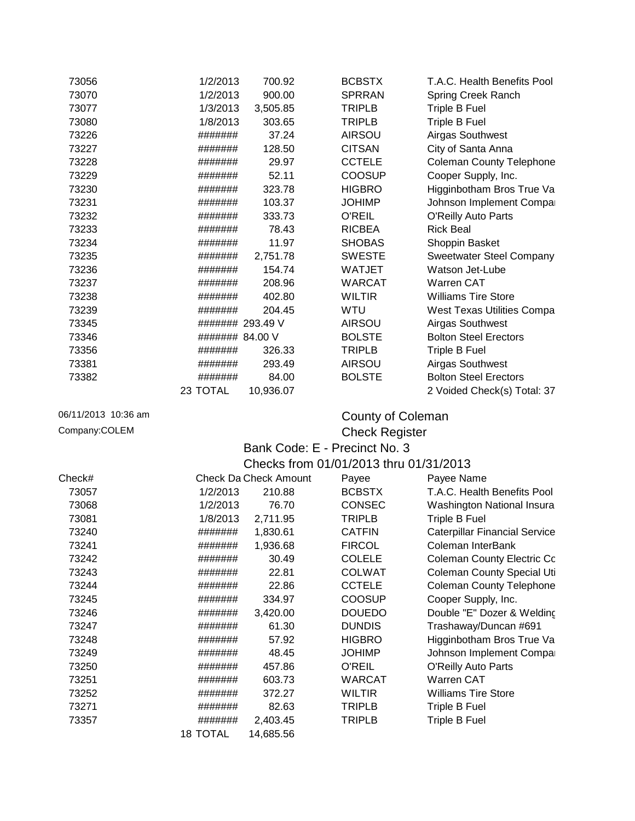| 73056               | 1/2/2013<br>700.92                           | <b>BCBSTX</b>                          | T.A.C. Health Benefits Pool          |  |
|---------------------|----------------------------------------------|----------------------------------------|--------------------------------------|--|
| 73070               | 1/2/2013<br>900.00                           | <b>SPRRAN</b>                          | <b>Spring Creek Ranch</b>            |  |
| 73077               | 1/3/2013<br>3,505.85                         | <b>TRIPLB</b>                          | <b>Triple B Fuel</b>                 |  |
| 73080               | 1/8/2013<br>303.65                           | <b>TRIPLB</b>                          | Triple B Fuel                        |  |
| 73226               | 37.24<br>#######                             | <b>AIRSOU</b>                          | <b>Airgas Southwest</b>              |  |
| 73227               | 128.50<br>#######                            | <b>CITSAN</b>                          | City of Santa Anna                   |  |
| 73228               | #######<br>29.97                             | <b>CCTELE</b>                          | <b>Coleman County Telephone</b>      |  |
| 73229               | 52.11<br>#######                             | <b>COOSUP</b>                          | Cooper Supply, Inc.                  |  |
| 73230               | 323.78<br>#######                            | <b>HIGBRO</b>                          | Higginbotham Bros True Va            |  |
| 73231               | 103.37<br>#######                            | <b>JOHIMP</b>                          | Johnson Implement Compa              |  |
| 73232               | 333.73<br>#######                            | O'REIL                                 | <b>O'Reilly Auto Parts</b>           |  |
| 73233               | 78.43<br>#######                             | <b>RICBEA</b>                          | <b>Rick Beal</b>                     |  |
| 73234               | 11.97<br>#######                             | <b>SHOBAS</b>                          | Shoppin Basket                       |  |
| 73235               | 2,751.78<br>#######                          | <b>SWESTE</b>                          | <b>Sweetwater Steel Company</b>      |  |
| 73236               | 154.74<br>#######                            | <b>WATJET</b>                          | Watson Jet-Lube                      |  |
| 73237               | 208.96<br>#######                            | <b>WARCAT</b>                          | <b>Warren CAT</b>                    |  |
| 73238               | 402.80<br>#######                            | <b>WILTIR</b>                          | <b>Williams Tire Store</b>           |  |
| 73239               | 204.45<br>#######                            | WTU                                    | <b>West Texas Utilities Compa</b>    |  |
| 73345               | ####### 293.49 V                             | <b>AIRSOU</b>                          | Airgas Southwest                     |  |
| 73346               | ####### 84.00 V                              | <b>BOLSTE</b>                          | <b>Bolton Steel Erectors</b>         |  |
| 73356               | 326.33<br>#######                            | <b>TRIPLB</b>                          | Triple B Fuel                        |  |
| 73381               | #######<br>293.49                            | <b>AIRSOU</b>                          | Airgas Southwest                     |  |
| 73382               | 84.00<br>#######                             | <b>BOLSTE</b>                          | <b>Bolton Steel Erectors</b>         |  |
|                     | 23 TOTAL<br>10,936.07                        |                                        | 2 Voided Check(s) Total: 37          |  |
|                     |                                              |                                        |                                      |  |
| 06/11/2013 10:36 am |                                              | County of Coleman                      |                                      |  |
| Company:COLEM       |                                              | <b>Check Register</b>                  |                                      |  |
|                     |                                              | Bank Code: E - Precinct No. 3          |                                      |  |
|                     |                                              |                                        |                                      |  |
|                     |                                              | Checks from 01/01/2013 thru 01/31/2013 |                                      |  |
|                     |                                              |                                        |                                      |  |
|                     | <b>Check Da Check Amount</b>                 | Payee                                  | Payee Name                           |  |
| 73057               | 1/2/2013<br>210.88                           | <b>BCBSTX</b>                          | T.A.C. Health Benefits Pool          |  |
| 73068               | 1/2/2013<br>76.70                            | <b>CONSEC</b>                          | Washington National Insura           |  |
| Check#<br>73081     | 1/8/2013<br>2,711.95                         | <b>TRIPLB</b>                          | Triple B Fuel                        |  |
| 73240               | #######<br>1,830.61                          | <b>CATFIN</b>                          | <b>Caterpillar Financial Service</b> |  |
| 73241               | 1,936.68<br>#######                          | <b>FIRCOL</b>                          | Coleman InterBank                    |  |
| 73242               | 30.49<br>#######                             | <b>COLELE</b>                          | <b>Coleman County Electric Co</b>    |  |
| 73243               | 22.81<br>#######                             | <b>COLWAT</b>                          | <b>Coleman County Special Uti</b>    |  |
| 73244               | 22.86<br>#######                             | <b>CCTELE</b>                          | <b>Coleman County Telephone</b>      |  |
| 73245               | 334.97<br>#######                            | <b>COOSUP</b>                          | Cooper Supply, Inc.                  |  |
| 73246               | 3,420.00<br>#######                          | <b>DOUEDO</b>                          | Double "E" Dozer & Welding           |  |
| 73247               | 61.30<br>#######                             | <b>DUNDIS</b>                          | Trashaway/Duncan #691                |  |
| 73248               | 57.92<br>#######                             | <b>HIGBRO</b>                          | Higginbotham Bros True Va            |  |
| 73249               | 48.45<br>#######                             | <b>JOHIMP</b>                          | Johnson Implement Compa              |  |
| 73250               | 457.86<br>#######                            | O'REIL                                 | <b>O'Reilly Auto Parts</b>           |  |
| 73251               | 603.73<br>#######                            | <b>WARCAT</b>                          | Warren CAT                           |  |
| 73252               | 372.27<br>#######                            | <b>WILTIR</b>                          | <b>Williams Tire Store</b>           |  |
| 73271               | 82.63<br>#######                             | <b>TRIPLB</b>                          | <b>Triple B Fuel</b>                 |  |
| 73357               | 2,403.45<br>#######<br>18 TOTAL<br>14,685.56 | <b>TRIPLB</b>                          | Triple B Fuel                        |  |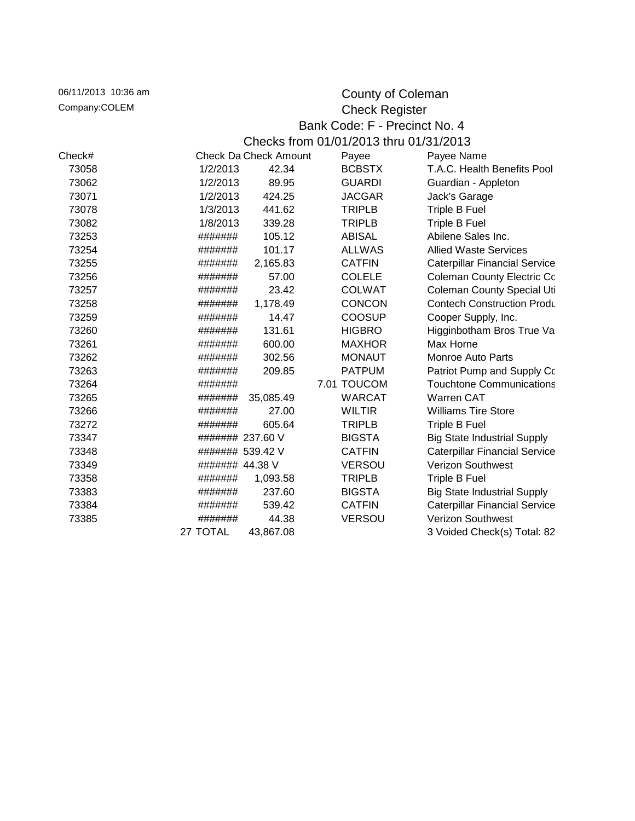| 06/11/2013 10:36 am           |                       |                                        |  | County of Coleman |                                      |  |  |  |
|-------------------------------|-----------------------|----------------------------------------|--|-------------------|--------------------------------------|--|--|--|
| Company:COLEM                 | <b>Check Register</b> |                                        |  |                   |                                      |  |  |  |
| Bank Code: F - Precinct No. 4 |                       |                                        |  |                   |                                      |  |  |  |
|                               |                       | Checks from 01/01/2013 thru 01/31/2013 |  |                   |                                      |  |  |  |
| Check#                        |                       | <b>Check Da Check Amount</b>           |  | Payee             | Payee Name                           |  |  |  |
| 73058                         | 1/2/2013              | 42.34                                  |  | <b>BCBSTX</b>     | T.A.C. Health Benefits Pool          |  |  |  |
| 73062                         | 1/2/2013              | 89.95                                  |  | <b>GUARDI</b>     | Guardian - Appleton                  |  |  |  |
| 73071                         | 1/2/2013              | 424.25                                 |  | <b>JACGAR</b>     | Jack's Garage                        |  |  |  |
| 73078                         | 1/3/2013              | 441.62                                 |  | <b>TRIPLB</b>     | Triple B Fuel                        |  |  |  |
| 73082                         | 1/8/2013              | 339.28                                 |  | <b>TRIPLB</b>     | Triple B Fuel                        |  |  |  |
| 73253                         | #######               | 105.12                                 |  | <b>ABISAL</b>     | Abilene Sales Inc.                   |  |  |  |
| 73254                         | #######               | 101.17                                 |  | <b>ALLWAS</b>     | <b>Allied Waste Services</b>         |  |  |  |
| 73255                         | #######               | 2,165.83                               |  | <b>CATFIN</b>     | <b>Caterpillar Financial Service</b> |  |  |  |
| 73256                         | #######               | 57.00                                  |  | <b>COLELE</b>     | <b>Coleman County Electric Co</b>    |  |  |  |
| 73257                         | #######               | 23.42                                  |  | <b>COLWAT</b>     | <b>Coleman County Special Uti</b>    |  |  |  |
| 73258                         | #######               | 1,178.49                               |  | <b>CONCON</b>     | <b>Contech Construction Produ</b>    |  |  |  |
| 73259                         | #######               | 14.47                                  |  | <b>COOSUP</b>     | Cooper Supply, Inc.                  |  |  |  |
| 73260                         | #######               | 131.61                                 |  | <b>HIGBRO</b>     | Higginbotham Bros True Va            |  |  |  |
| 73261                         | #######               | 600.00                                 |  | <b>MAXHOR</b>     | Max Horne                            |  |  |  |
| 73262                         | #######               | 302.56                                 |  | <b>MONAUT</b>     | Monroe Auto Parts                    |  |  |  |
| 73263                         | #######               | 209.85                                 |  | <b>PATPUM</b>     | Patriot Pump and Supply Co           |  |  |  |
| 73264                         | #######               |                                        |  | 7.01 TOUCOM       | <b>Touchtone Communications</b>      |  |  |  |
| 73265                         | #######               | 35,085.49                              |  | <b>WARCAT</b>     | <b>Warren CAT</b>                    |  |  |  |
| 73266                         | #######               | 27.00                                  |  | <b>WILTIR</b>     | <b>Williams Tire Store</b>           |  |  |  |
| 73272                         | #######               | 605.64                                 |  | <b>TRIPLB</b>     | Triple B Fuel                        |  |  |  |
| 73347                         | ####### 237.60 V      |                                        |  | <b>BIGSTA</b>     | <b>Big State Industrial Supply</b>   |  |  |  |
| 73348                         | ####### 539.42 V      |                                        |  | <b>CATFIN</b>     | <b>Caterpillar Financial Service</b> |  |  |  |
| 73349                         | ####### 44.38 V       |                                        |  | <b>VERSOU</b>     | <b>Verizon Southwest</b>             |  |  |  |
| 73358                         | #######               | 1,093.58                               |  | <b>TRIPLB</b>     | Triple B Fuel                        |  |  |  |
| 73383                         | #######               | 237.60                                 |  | <b>BIGSTA</b>     | <b>Big State Industrial Supply</b>   |  |  |  |
| 73384                         | #######               | 539.42                                 |  | <b>CATFIN</b>     | <b>Caterpillar Financial Service</b> |  |  |  |
| 73385                         | #######               | 44.38                                  |  | <b>VERSOU</b>     | Verizon Southwest                    |  |  |  |
|                               | 27 TOTAL              | 43,867.08                              |  |                   | 3 Voided Check(s) Total: 82          |  |  |  |
|                               |                       |                                        |  |                   |                                      |  |  |  |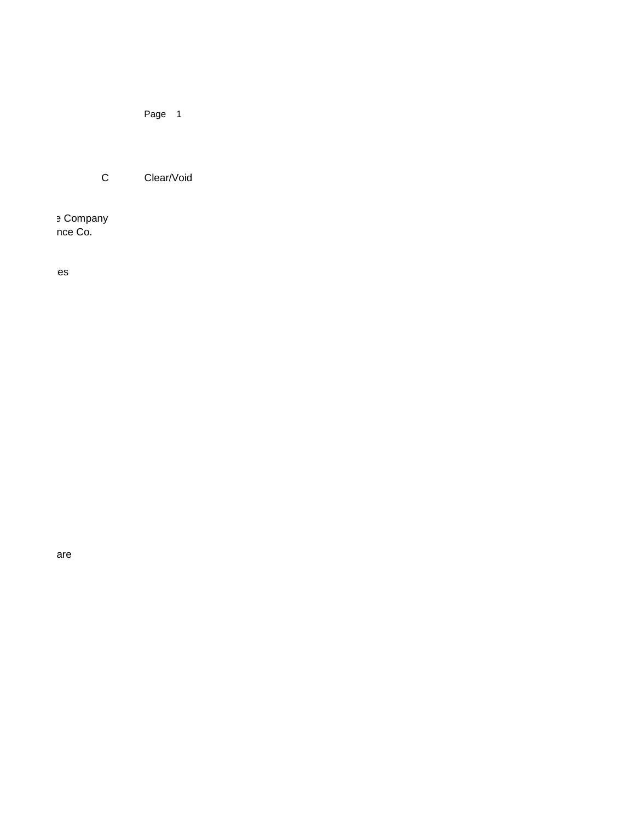Page 1

C Clear/Void

e Company nce Co.

 $ies$ 

are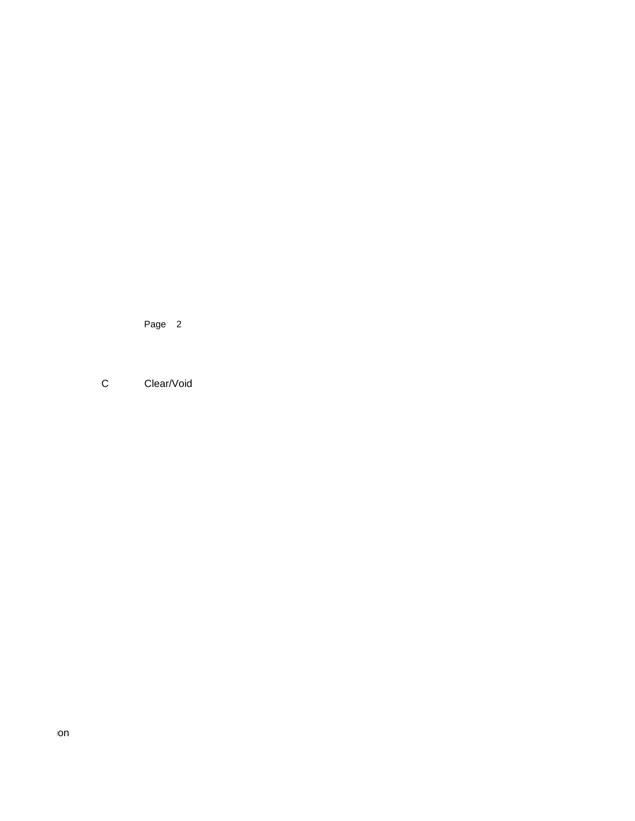Page 2

C Clear/Void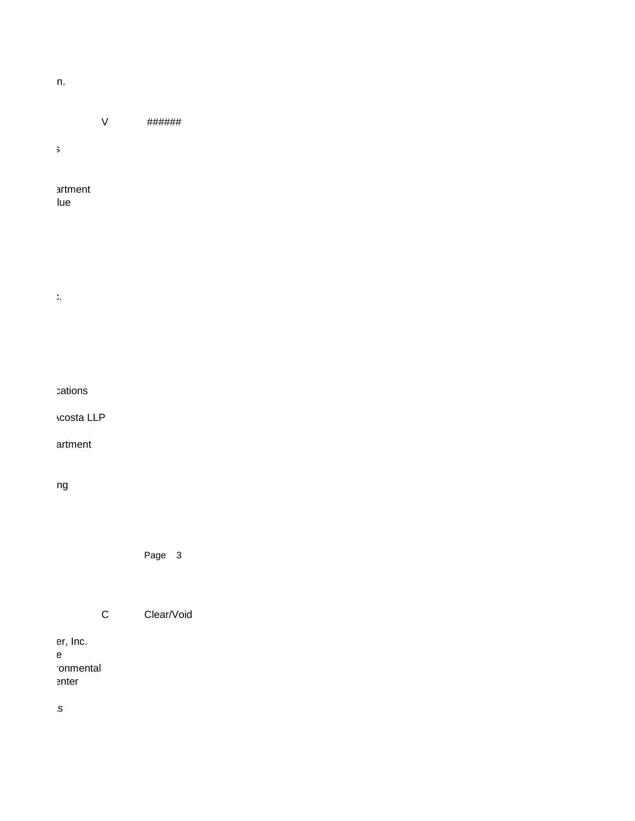## $T_{\rm max}$  assessor-Collector Assessor-Collector Association  $\mathsf{A}$ sn.

V ###### Affiliated Computer Services

> artment lue

Sirchie Finger Print Labs,Inc.

cations

**Acosta LLP** 

artment

ng

Page 3

C Clear/Void

er, Inc. Election Systems & Software ronmental enter

County Treas.Assn. of Texas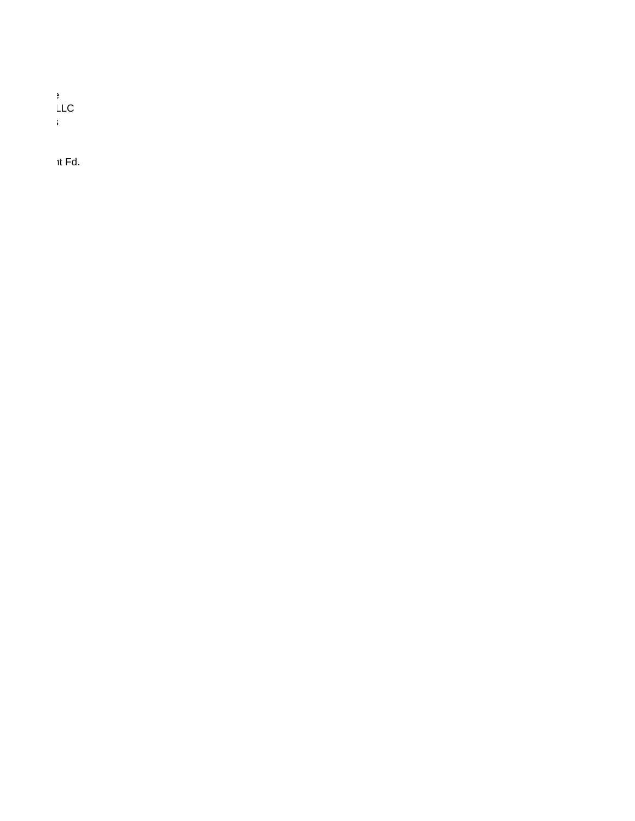Texas District Court Alliance  $L_{\rm{LC}}$ Touchtone Communications

 $nt$  Fd.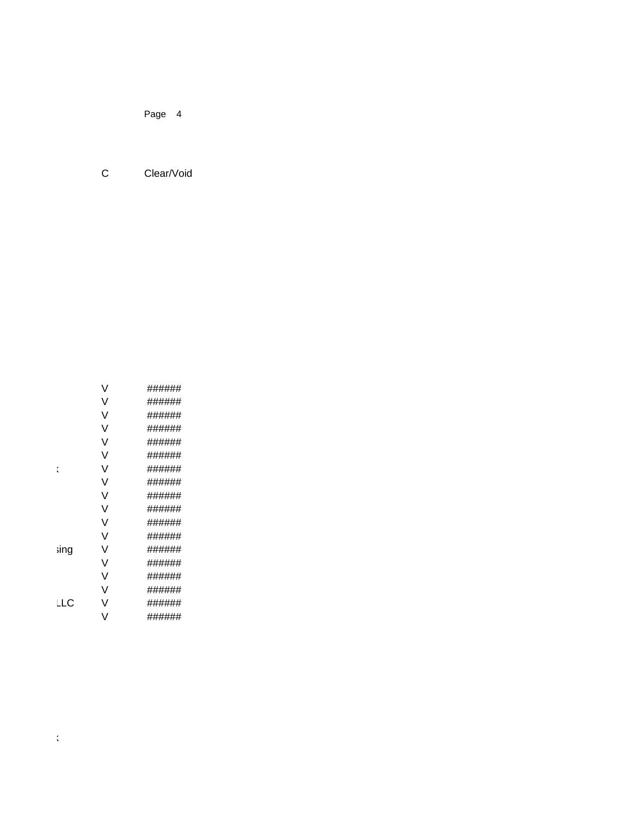Page 4

C Clear/Void

|      | V | ###### |
|------|---|--------|
|      | V | ###### |
|      | V | ###### |
|      | V | ###### |
|      | ٧ | ###### |
|      | ٧ | ###### |
| ί    | V | ###### |
|      | V | ###### |
|      | V | ###### |
|      | ٧ | ###### |
|      | V | ###### |
|      | V | ###### |
| sing | ٧ | ###### |
|      | V | ###### |
|      | ٧ | ###### |
|      | V | ###### |
| LLC  | V | ###### |
|      | ٧ | ###### |

Lori Bohannon County Clerk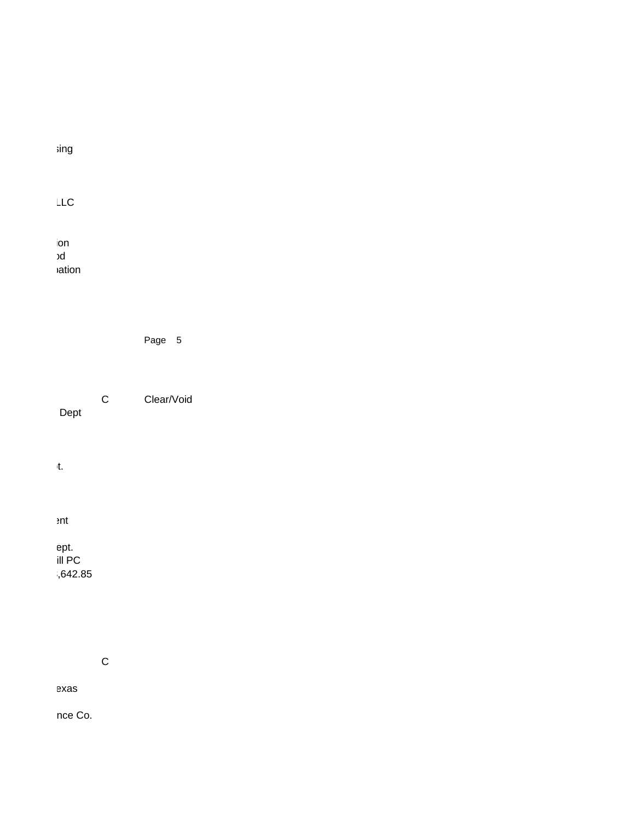| sing                |
|---------------------|
| LLC                 |
| ion<br>bc<br>vation |

| Page |  |
|------|--|
|------|--|

C Clear/Void

Dept

Comanche Shores Fire Dept.

 $ent$ 

ept.

 $\overline{III}$  PC  $1,642.85$ 

C

exas

nce Co.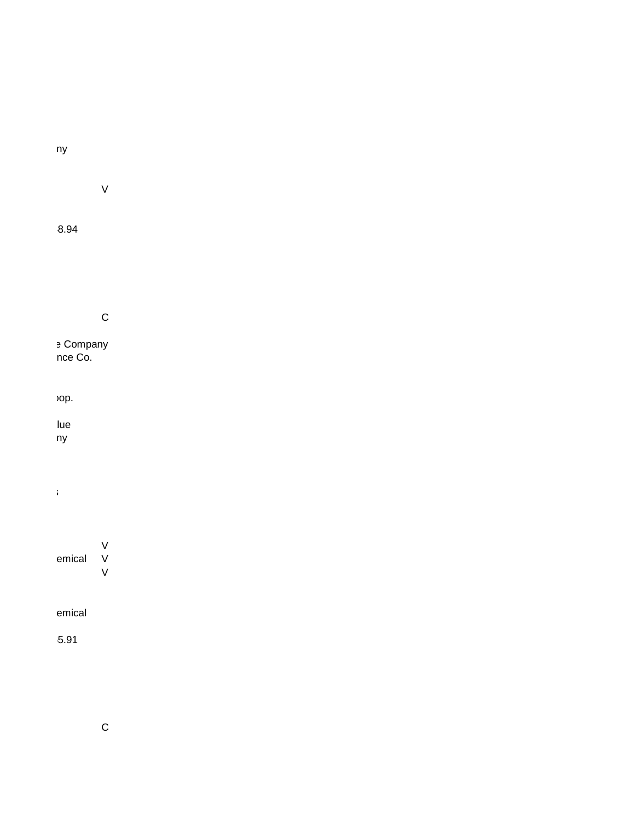## ny

V

## $8.94$

## C

**Transact Disk Company** Washington National Insurance Co.

## op.

lue  $ny$ 

## Touchtone Communications

## V emical V V

emical

 $3.91$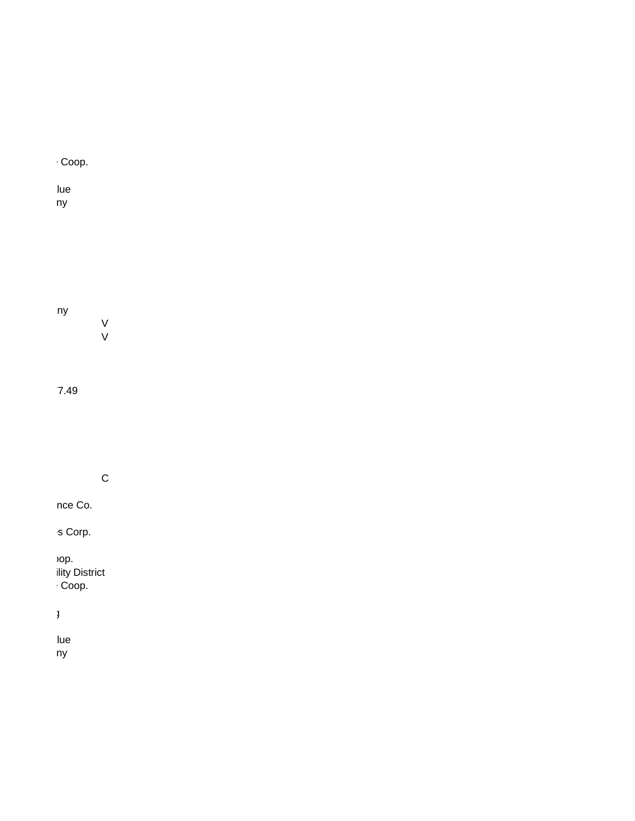# $\cdot$  Coop. lue  $ny$ ny V

V

 $7.49$ 

C

nce Co.

s Corp.

 $C$ op. Coleman County Special Utility District  $COOP$ .

Double "E" Dozer & Welding

lue  $ny$